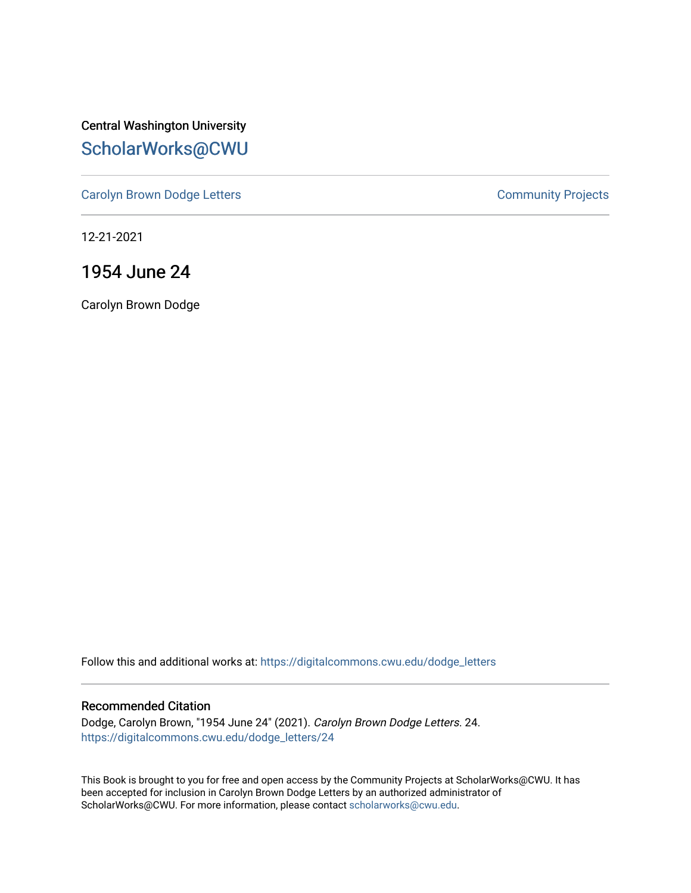Central Washington University [ScholarWorks@CWU](https://digitalcommons.cwu.edu/) 

[Carolyn Brown Dodge Letters](https://digitalcommons.cwu.edu/dodge_letters) **Carolyn Brown Dodge Letters Community Projects** 

12-21-2021

# 1954 June 24

Carolyn Brown Dodge

Follow this and additional works at: [https://digitalcommons.cwu.edu/dodge\\_letters](https://digitalcommons.cwu.edu/dodge_letters?utm_source=digitalcommons.cwu.edu%2Fdodge_letters%2F24&utm_medium=PDF&utm_campaign=PDFCoverPages) 

### Recommended Citation

Dodge, Carolyn Brown, "1954 June 24" (2021). Carolyn Brown Dodge Letters. 24. [https://digitalcommons.cwu.edu/dodge\\_letters/24](https://digitalcommons.cwu.edu/dodge_letters/24?utm_source=digitalcommons.cwu.edu%2Fdodge_letters%2F24&utm_medium=PDF&utm_campaign=PDFCoverPages)

This Book is brought to you for free and open access by the Community Projects at ScholarWorks@CWU. It has been accepted for inclusion in Carolyn Brown Dodge Letters by an authorized administrator of ScholarWorks@CWU. For more information, please contact [scholarworks@cwu.edu](mailto:scholarworks@cwu.edu).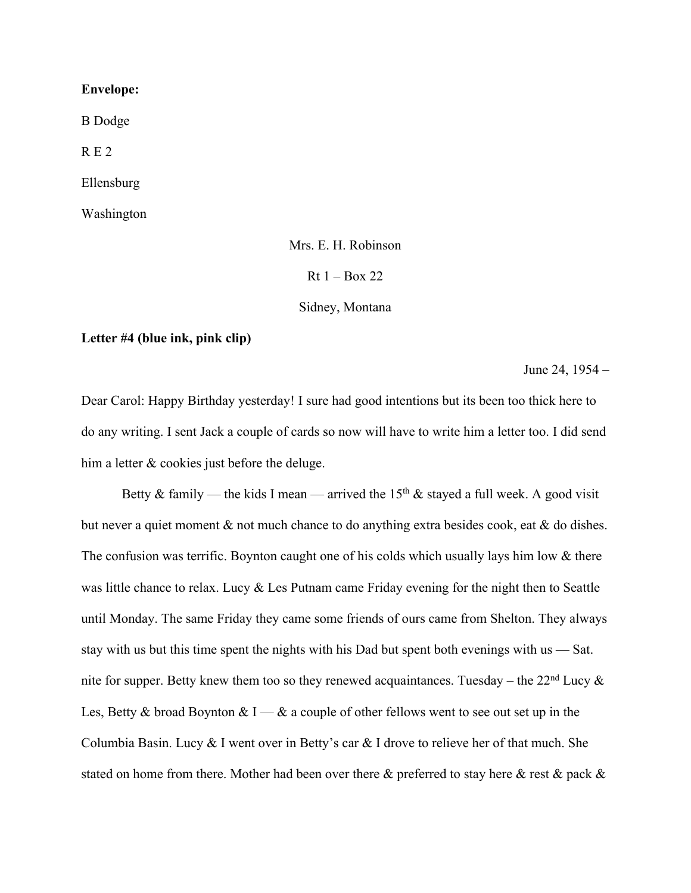## **Envelope:**

B Dodge

R E 2

Ellensburg

Washington

Mrs. E. H. Robinson

 $Rt 1 - Box 22$ 

Sidney, Montana

### **Letter #4 (blue ink, pink clip)**

June 24, 1954 –

Dear Carol: Happy Birthday yesterday! I sure had good intentions but its been too thick here to do any writing. I sent Jack a couple of cards so now will have to write him a letter too. I did send him a letter & cookies just before the deluge.

Betty & family — the kids I mean — arrived the 15<sup>th</sup> & stayed a full week. A good visit but never a quiet moment & not much chance to do anything extra besides cook, eat & do dishes. The confusion was terrific. Boynton caught one of his colds which usually lays him low & there was little chance to relax. Lucy & Les Putnam came Friday evening for the night then to Seattle until Monday. The same Friday they came some friends of ours came from Shelton. They always stay with us but this time spent the nights with his Dad but spent both evenings with us — Sat. nite for supper. Betty knew them too so they renewed acquaintances. Tuesday – the  $22<sup>nd</sup> Lucy \&$ Les, Betty & broad Boynton & I — & a couple of other fellows went to see out set up in the Columbia Basin. Lucy & I went over in Betty's car & I drove to relieve her of that much. She stated on home from there. Mother had been over there & preferred to stay here & rest & pack &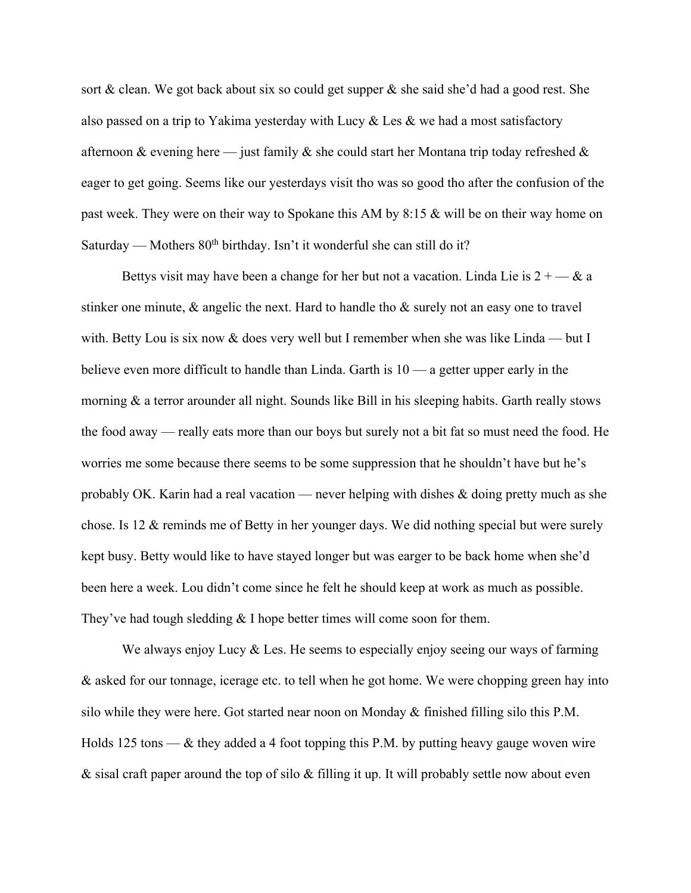sort & clean. We got back about six so could get supper  $\&$  she said she'd had a good rest. She also passed on a trip to Yakima yesterday with Lucy  $\&$  Les  $\&$  we had a most satisfactory afternoon & evening here — just family & she could start her Montana trip today refreshed & eager to get going. Seems like our yesterdays visit tho was so good tho after the confusion of the past week. They were on their way to Spokane this AM by 8:15 & will be on their way home on Saturday — Mothers  $80<sup>th</sup>$  birthday. Isn't it wonderful she can still do it?

Bettys visit may have been a change for her but not a vacation. Linda Lie is  $2 + -\&$  a stinker one minute, & angelic the next. Hard to handle tho & surely not an easy one to travel with. Betty Lou is six now & does very well but I remember when she was like Linda — but I believe even more difficult to handle than Linda. Garth is 10 — a getter upper early in the morning & a terror arounder all night. Sounds like Bill in his sleeping habits. Garth really stows the food away — really eats more than our boys but surely not a bit fat so must need the food. He worries me some because there seems to be some suppression that he shouldn't have but he's probably OK. Karin had a real vacation — never helping with dishes  $\&$  doing pretty much as she chose. Is 12 & reminds me of Betty in her younger days. We did nothing special but were surely kept busy. Betty would like to have stayed longer but was earger to be back home when she'd been here a week. Lou didn't come since he felt he should keep at work as much as possible. They've had tough sledding & I hope better times will come soon for them.

We always enjoy Lucy  $&$  Les. He seems to especially enjoy seeing our ways of farming & asked for our tonnage, icerage etc. to tell when he got home. We were chopping green hay into silo while they were here. Got started near noon on Monday  $\&$  finished filling silo this P.M. Holds 125 tons —  $\&$  they added a 4 foot topping this P.M. by putting heavy gauge woven wire & sisal craft paper around the top of silo & filling it up. It will probably settle now about even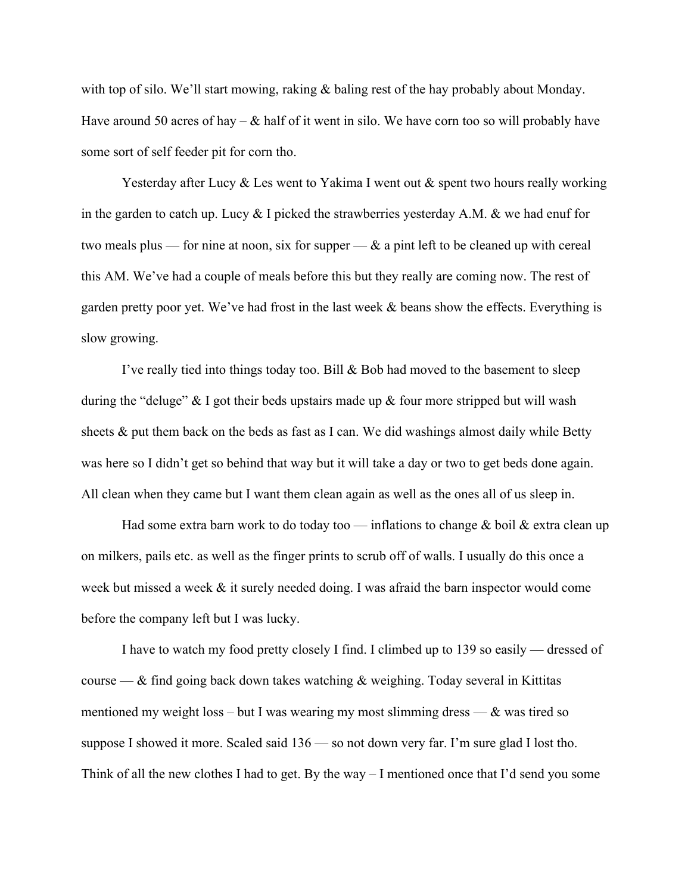with top of silo. We'll start mowing, raking & baling rest of the hay probably about Monday. Have around 50 acres of hay –  $\&$  half of it went in silo. We have corn too so will probably have some sort of self feeder pit for corn tho.

Yesterday after Lucy & Les went to Yakima I went out & spent two hours really working in the garden to catch up. Lucy & I picked the strawberries yesterday A.M. & we had enuf for two meals plus — for nine at noon, six for supper —  $\&$  a pint left to be cleaned up with cereal this AM. We've had a couple of meals before this but they really are coming now. The rest of garden pretty poor yet. We've had frost in the last week & beans show the effects. Everything is slow growing.

I've really tied into things today too. Bill & Bob had moved to the basement to sleep during the "deluge"  $\&$  I got their beds upstairs made up  $&$  four more stripped but will wash sheets  $\&$  put them back on the beds as fast as I can. We did washings almost daily while Betty was here so I didn't get so behind that way but it will take a day or two to get beds done again. All clean when they came but I want them clean again as well as the ones all of us sleep in.

Had some extra barn work to do today too — inflations to change  $\&$  boil  $\&$  extra clean up on milkers, pails etc. as well as the finger prints to scrub off of walls. I usually do this once a week but missed a week & it surely needed doing. I was afraid the barn inspector would come before the company left but I was lucky.

I have to watch my food pretty closely I find. I climbed up to 139 so easily — dressed of course —  $\&$  find going back down takes watching  $&$  weighing. Today several in Kittitas mentioned my weight loss – but I was wearing my most slimming dress —  $\&$  was tired so suppose I showed it more. Scaled said 136 — so not down very far. I'm sure glad I lost tho. Think of all the new clothes I had to get. By the way – I mentioned once that I'd send you some